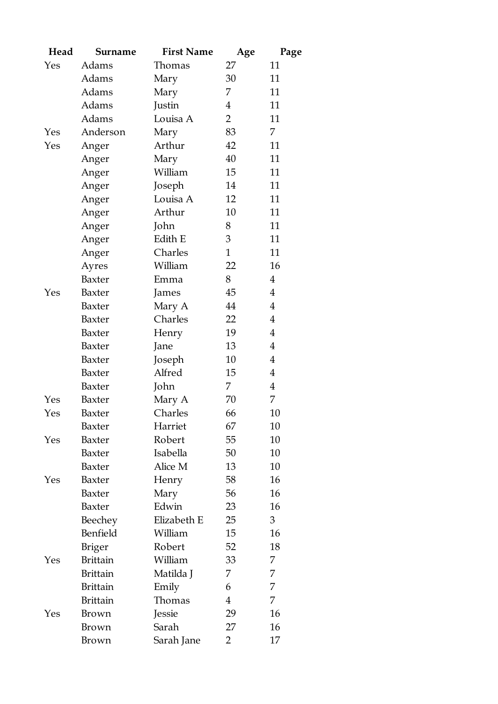| Head | Surname         | <b>First Name</b> | Age            | Page           |
|------|-----------------|-------------------|----------------|----------------|
| Yes  | Adams           | Thomas            | 27             | 11             |
|      | Adams           | Mary              | 30             | 11             |
|      | Adams           | Mary              | 7              | 11             |
|      | Adams           | Justin            | $\overline{4}$ | 11             |
|      | Adams           | Louisa A          | $\overline{2}$ | 11             |
| Yes  | Anderson        | Mary              | 83             | 7              |
| Yes  | Anger           | Arthur            | 42             | 11             |
|      | Anger           | Mary              | 40             | 11             |
|      | Anger           | William           | 15             | 11             |
|      | Anger           | Joseph            | 14             | 11             |
|      | Anger           | Louisa A          | 12             | 11             |
|      | Anger           | Arthur            | 10             | 11             |
|      | Anger           | John              | 8              | 11             |
|      | Anger           | Edith E           | 3              | 11             |
|      | Anger           | Charles           | $\mathbf{1}$   | 11             |
|      | Ayres           | William           | 22             | 16             |
|      | Baxter          | Emma              | 8              | $\overline{4}$ |
| Yes  | Baxter          | James             | 45             | $\overline{4}$ |
|      | Baxter          | Mary A            | 44             | $\overline{4}$ |
|      | Baxter          | Charles           | 22             | $\overline{4}$ |
|      | Baxter          | Henry             | 19             | $\overline{4}$ |
|      | Baxter          | Jane              | 13             | $\overline{4}$ |
|      | Baxter          | Joseph            | 10             | $\overline{4}$ |
|      | Baxter          | Alfred            | 15             | $\overline{4}$ |
|      | Baxter          | John              | 7              | $\overline{4}$ |
| Yes  | Baxter          | Mary A            | 70             | 7              |
| Yes  | Baxter          | Charles           | 66             | 10             |
|      | Baxter          | Harriet           | 67             | 10             |
| Yes  | Baxter          | Robert            | 55             | 10             |
|      | Baxter          | Isabella          | 50             | 10             |
|      | Baxter          | Alice M           | 13             | 10             |
| Yes  | Baxter          | Henry             | 58             | 16             |
|      | Baxter          | Mary              | 56             | 16             |
|      | Baxter          | Edwin             | 23             | 16             |
|      | Beechey         | Elizabeth E       | 25             | 3              |
|      | Benfield        | William           | 15             | 16             |
|      | <b>Briger</b>   | Robert            | 52             | 18             |
| Yes  | <b>Brittain</b> | William           | 33             | 7              |
|      | <b>Brittain</b> | Matilda J         | 7              | 7              |
|      | <b>Brittain</b> | Emily             | 6              | 7              |
|      | <b>Brittain</b> | Thomas            | $\overline{4}$ | 7              |
| Yes  | Brown           | Jessie            | 29             | 16             |
|      | Brown           | Sarah             | 27             | 16             |
|      | Brown           | Sarah Jane        | $\overline{2}$ | 17             |
|      |                 |                   |                |                |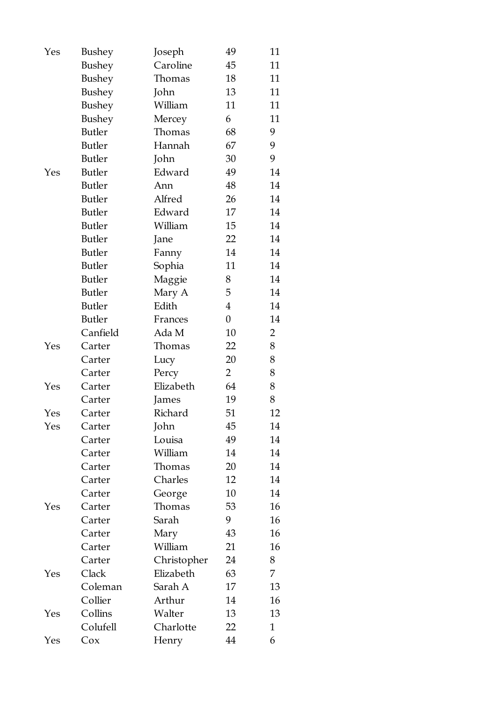| Yes | Bushey        | Joseph      | 49             | 11             |
|-----|---------------|-------------|----------------|----------------|
|     | Bushey        | Caroline    | 45             | 11             |
|     | Bushey        | Thomas      | 18             | 11             |
|     | Bushey        | John        | 13             | 11             |
|     | Bushey        | William     | 11             | 11             |
|     | Bushey        | Mercey      | 6              | 11             |
|     | <b>Butler</b> | Thomas      | 68             | 9              |
|     | <b>Butler</b> | Hannah      | 67             | 9              |
|     | <b>Butler</b> | John        | 30             | 9              |
| Yes | <b>Butler</b> | Edward      | 49             | 14             |
|     | <b>Butler</b> | Ann         | 48             | $14\,$         |
|     | <b>Butler</b> | Alfred      | 26             | 14             |
|     | <b>Butler</b> | Edward      | 17             | 14             |
|     | <b>Butler</b> | William     | 15             | 14             |
|     | <b>Butler</b> | Jane        | 22             | 14             |
|     | <b>Butler</b> | Fanny       | 14             | 14             |
|     | <b>Butler</b> | Sophia      | 11             | 14             |
|     | <b>Butler</b> | Maggie      | 8              | 14             |
|     | <b>Butler</b> | Mary A      | 5              | 14             |
|     | <b>Butler</b> | Edith       | $\overline{4}$ | 14             |
|     | <b>Butler</b> | Frances     | $\overline{0}$ | 14             |
|     | Canfield      | Ada M       | 10             | $\overline{2}$ |
| Yes | Carter        | Thomas      | 22             | 8              |
|     | Carter        | Lucy        | 20             | 8              |
|     | Carter        | Percy       | $\overline{2}$ | 8              |
| Yes | Carter        | Elizabeth   | 64             | 8              |
|     | Carter        | James       | 19             | 8              |
| Yes | Carter        | Richard     | 51             | 12             |
| Yes | Carter        | John        | 45             | 14             |
|     | Carter        | Louisa      | 49             | 14             |
|     | Carter        | William     | 14             | 14             |
|     | Carter        | Thomas      | 20             | 14             |
|     | Carter        | Charles     | 12             | 14             |
|     | Carter        | George      | 10             | 14             |
| Yes | Carter        | Thomas      | 53             | 16             |
|     | Carter        | Sarah       | 9              | 16             |
|     | Carter        | Mary        | 43             | 16             |
|     | Carter        | William     | 21             | 16             |
|     | Carter        | Christopher | 24             | 8              |
| Yes | Clack         | Elizabeth   | 63             | 7              |
|     | Coleman       | Sarah A     | 17             | 13             |
|     | Collier       | Arthur      | 14             | 16             |
| Yes | Collins       | Walter      | 13             | 13             |
|     | Colufell      | Charlotte   | 22             | $\mathbf{1}$   |
| Yes | Cox           | Henry       | 44             | 6              |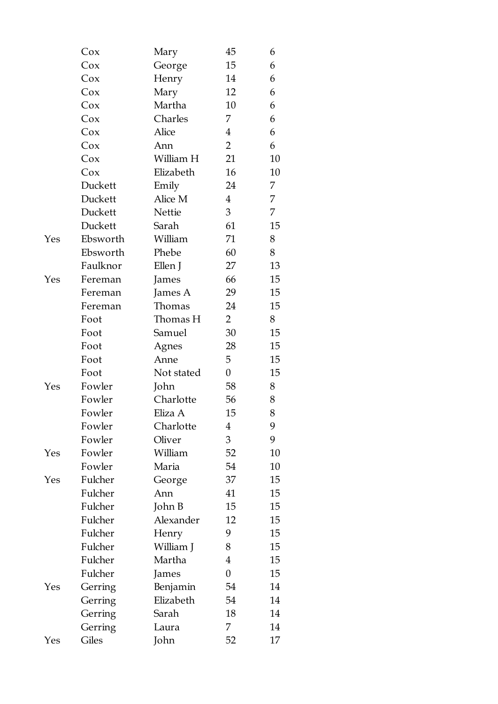|     | Cox      | Mary       | 45               | 6  |
|-----|----------|------------|------------------|----|
|     | Cox      | George     | 15               | 6  |
|     | Cox      | Henry      | 14               | 6  |
|     | Cox      | Mary       | 12               | 6  |
|     | Cox      | Martha     | 10               | 6  |
|     | Cox      | Charles    | 7                | 6  |
|     | Cox      | Alice      | $\overline{4}$   | 6  |
|     | Cox      | Ann        | $\overline{2}$   | 6  |
|     | Cox      | William H  | 21               | 10 |
|     | Cox      | Elizabeth  | 16               | 10 |
|     | Duckett  | Emily      | 24               | 7  |
|     | Duckett  | Alice M    | $\overline{4}$   | 7  |
|     | Duckett  | Nettie     | 3                | 7  |
|     | Duckett  | Sarah      | 61               | 15 |
| Yes | Ebsworth | William    | 71               | 8  |
|     | Ebsworth | Phebe      | 60               | 8  |
|     | Faulknor | Ellen J    | 27               | 13 |
| Yes | Fereman  | James      | 66               | 15 |
|     | Fereman  | James A    | 29               | 15 |
|     | Fereman  | Thomas     | 24               | 15 |
|     | Foot     | Thomas H   | $\overline{2}$   | 8  |
|     | Foot     | Samuel     | 30               | 15 |
|     | Foot     | Agnes      | 28               | 15 |
|     | Foot     | Anne       | 5                | 15 |
|     | Foot     | Not stated | $\boldsymbol{0}$ | 15 |
| Yes | Fowler   | John       | 58               | 8  |
|     | Fowler   | Charlotte  | 56               | 8  |
|     | Fowler   | Eliza A    | 15               | 8  |
|     | Fowler   | Charlotte  | 4                | 9  |
|     | Fowler   | Oliver     | 3                | 9  |
| Yes | Fowler   | William    | 52               | 10 |
|     | Fowler   | Maria      | 54               | 10 |
| Yes | Fulcher  | George     | 37               | 15 |
|     | Fulcher  | Ann        | 41               | 15 |
|     | Fulcher  | John B     | 15               | 15 |
|     | Fulcher  | Alexander  | 12               | 15 |
|     | Fulcher  | Henry      | 9                | 15 |
|     | Fulcher  | William J  | 8                | 15 |
|     | Fulcher  | Martha     | $\overline{4}$   | 15 |
|     | Fulcher  | James      | $\boldsymbol{0}$ | 15 |
| Yes | Gerring  | Benjamin   | 54               | 14 |
|     | Gerring  | Elizabeth  | 54               | 14 |
|     | Gerring  | Sarah      | 18               | 14 |
|     | Gerring  | Laura      | 7                | 14 |
| Yes | Giles    | John       | 52               | 17 |
|     |          |            |                  |    |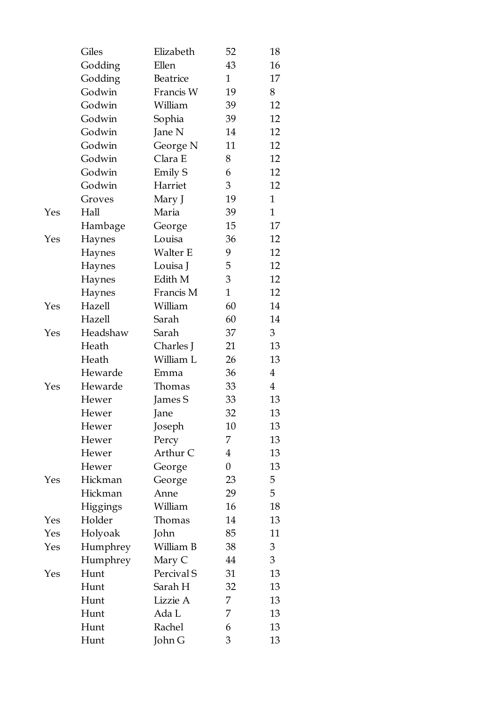|     | Giles           | Elizabeth       | 52             | 18             |
|-----|-----------------|-----------------|----------------|----------------|
|     | Godding         | Ellen           | 43             | 16             |
|     | Godding         | Beatrice        | $\mathbf{1}$   | 17             |
|     | Godwin          | Francis W       | 19             | 8              |
|     | Godwin          | William         | 39             | 12             |
|     | Godwin          | Sophia          | 39             | 12             |
|     | Godwin          | Jane N          | 14             | 12             |
|     | Godwin          | George N        | 11             | 12             |
|     | Godwin          | Clara E         | 8              | 12             |
|     | Godwin          | Emily S         | 6              | 12             |
|     | Godwin          | Harriet         | 3              | 12             |
|     | Groves          | Mary J          | 19             | $\mathbf{1}$   |
| Yes | Hall            | Maria           | 39             | $\mathbf{1}$   |
|     | Hambage         | George          | 15             | 17             |
| Yes | Haynes          | Louisa          | 36             | 12             |
|     | Haynes          | <b>Walter E</b> | 9              | 12             |
|     | Haynes          | Louisa J        | 5              | 12             |
|     | Haynes          | Edith M         | 3              | 12             |
|     | Haynes          | Francis M       | $\mathbf{1}$   | 12             |
| Yes | Hazell          | William         | 60             | 14             |
|     | Hazell          | Sarah           | 60             | 14             |
| Yes | Headshaw        | Sarah           | 37             | 3              |
|     | Heath           | Charles J       | 21             | 13             |
|     | Heath           | William L       | 26             | 13             |
|     | Hewarde         | Emma            | 36             | $\overline{4}$ |
| Yes | Hewarde         | Thomas          | 33             | $\overline{4}$ |
|     | Hewer           | James S         | 33             | 13             |
|     | Hewer           | Jane            | 32             | 13             |
|     | Hewer           | Joseph          | 10             | 13             |
|     | Hewer           | Percy           | 7              | 13             |
|     | Hewer           | Arthur C        | $\overline{4}$ | 13             |
|     | Hewer           | George          | 0              | 13             |
| Yes | Hickman         | George          | 23             | 5              |
|     | Hickman         | Anne            | 29             | 5              |
|     | <b>Higgings</b> | William         | 16             | 18             |
| Yes | Holder          | Thomas          | 14             | 13             |
| Yes | Holyoak         | John            | 85             | 11             |
| Yes | Humphrey        | William B       | 38             | 3              |
|     | Humphrey        | Mary C          | 44             | $\overline{3}$ |
| Yes | Hunt            | Percival S      | 31             | 13             |
|     | Hunt            | Sarah H         | 32             | 13             |
|     | Hunt            | Lizzie A        | 7              | 13             |
|     | Hunt            | Ada L           | 7              | 13             |
|     | Hunt            | Rachel          | 6              | 13             |
|     | Hunt            | John G          | 3              | 13             |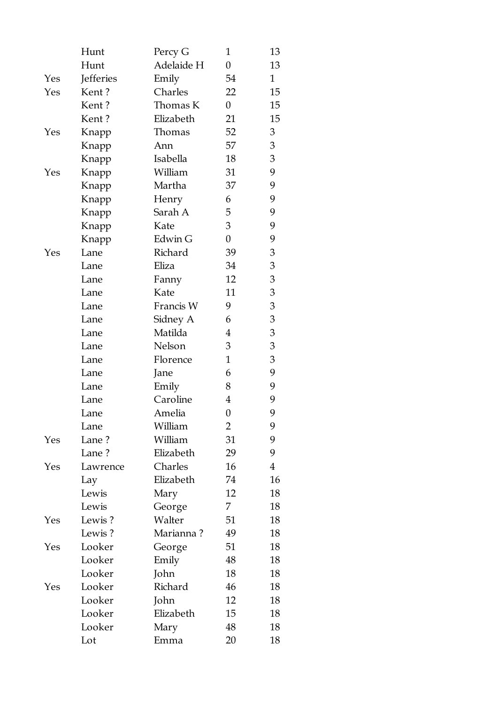|     | Hunt      | Percy G    | 1                | 13             |
|-----|-----------|------------|------------------|----------------|
|     | Hunt      | Adelaide H | $\boldsymbol{0}$ | 13             |
| Yes | Jefferies | Emily      | 54               | $\mathbf 1$    |
| Yes | Kent?     | Charles    | 22               | 15             |
|     | Kent?     | Thomas K   | 0                | 15             |
|     | Kent?     | Elizabeth  | 21               | 15             |
| Yes | Knapp     | Thomas     | 52               | 3              |
|     | Knapp     | Ann        | 57               | 3              |
|     | Knapp     | Isabella   | 18               | 3              |
| Yes | Knapp     | William    | 31               | 9              |
|     | Knapp     | Martha     | 37               | 9              |
|     | Knapp     | Henry      | 6                | 9              |
|     | Knapp     | Sarah A    | 5                | 9              |
|     | Knapp     | Kate       | 3                | 9              |
|     | Knapp     | Edwin G    | $\boldsymbol{0}$ | 9              |
| Yes | Lane      | Richard    | 39               | 3              |
|     | Lane      | Eliza      | 34               | 3              |
|     | Lane      | Fanny      | 12               | 3              |
|     | Lane      | Kate       | 11               | 3              |
|     | Lane      | Francis W  | 9                | 3              |
|     | Lane      | Sidney A   | 6                | 3              |
|     | Lane      | Matilda    | 4                | $\mathfrak{B}$ |
|     | Lane      | Nelson     | 3                | 3              |
|     | Lane      | Florence   | $\mathbf{1}$     | 3              |
|     | Lane      | Jane       | 6                | 9              |
|     | Lane      | Emily      | 8                | 9              |
|     | Lane      | Caroline   | 4                | 9              |
|     | Lane      | Amelia     | 0                | 9              |
|     | Lane      | William    | 2                | 9              |
| Yes | Lane?     | William    | 31               | 9              |
|     | Lane?     | Elizabeth  | 29               | 9              |
| Yes | Lawrence  | Charles    | 16               | $\overline{4}$ |
|     | Lay       | Elizabeth  | 74               | 16             |
|     | Lewis     | Mary       | 12               | 18             |
|     | Lewis     | George     | 7.               | 18             |
| Yes | Lewis?    | Walter     | 51               | 18             |
|     | Lewis?    | Marianna?  | 49               | 18             |
| Yes | Looker    | George     | 51               | 18             |
|     | Looker    | Emily      | 48               | 18             |
|     | Looker    | John       | 18               | 18             |
| Yes | Looker    | Richard    | 46               | 18             |
|     | Looker    | John       | 12               | 18             |
|     | Looker    | Elizabeth  | 15               | 18             |
|     | Looker    | Mary       | 48               | 18             |
|     | Lot       | Emma       | 20               | 18             |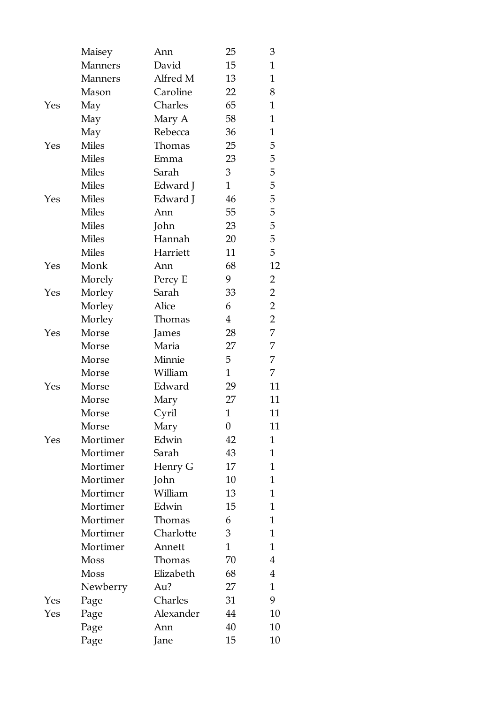|     | Maisey         | Ann       | 25             | 3              |
|-----|----------------|-----------|----------------|----------------|
|     | Manners        | David     | 15             | $\mathbf{1}$   |
|     | <b>Manners</b> | Alfred M  | 13             | $\mathbf{1}$   |
|     | Mason          | Caroline  | 22             | 8              |
| Yes | May            | Charles   | 65             | $\mathbf{1}$   |
|     | May            | Mary A    | 58             | $\mathbf{1}$   |
|     | May            | Rebecca   | 36             | 1              |
| Yes | <b>Miles</b>   | Thomas    | 25             | 5              |
|     | <b>Miles</b>   | Emma      | 23             | 5              |
|     | <b>Miles</b>   | Sarah     | 3              | 5              |
|     | <b>Miles</b>   | Edward J  | $\mathbf{1}$   | 5              |
| Yes | <b>Miles</b>   | Edward J  | 46             | 5              |
|     | <b>Miles</b>   | Ann       | 55             | 5              |
|     | <b>Miles</b>   | John      | 23             | 5              |
|     | <b>Miles</b>   | Hannah    | 20             | 5              |
|     | <b>Miles</b>   | Harriett  | 11             | 5              |
| Yes | Monk           | Ann       | 68             | 12             |
|     | Morely         | Percy E   | 9              | $\overline{2}$ |
| Yes | Morley         | Sarah     | 33             | $\overline{2}$ |
|     | Morley         | Alice     | 6              | $\overline{2}$ |
|     | Morley         | Thomas    | $\overline{4}$ | $\overline{2}$ |
| Yes | Morse          | James     | 28             | 7              |
|     | Morse          | Maria     | 27             | 7              |
|     | Morse          | Minnie    | 5              | 7              |
|     | Morse          | William   | $\mathbf{1}$   | 7              |
| Yes | Morse          | Edward    | 29             | 11             |
|     | Morse          | Mary      | 27             | 11             |
|     | Morse          | Cyril     | $\mathbf{1}$   | 11             |
|     | Morse          | Mary      | 0              | 11             |
| Yes | Mortimer       | Edwin     | 42             | $\mathbf{1}$   |
|     | Mortimer       | Sarah     | 43             | 1              |
|     | Mortimer       | Henry G   | 17             | 1              |
|     | Mortimer       | John      | 10             | 1              |
|     | Mortimer       | William   | 13             | 1              |
|     | Mortimer       | Edwin     | 15             | 1              |
|     | Mortimer       | Thomas    | 6              | 1              |
|     | Mortimer       | Charlotte | 3              | 1              |
|     | Mortimer       | Annett    | $\mathbf{1}$   | 1              |
|     | <b>Moss</b>    | Thomas    | 70             | 4              |
|     | Moss           | Elizabeth | 68             | 4              |
|     | Newberry       | Au?       | 27             | 1              |
| Yes | Page           | Charles   | 31             | 9              |
| Yes | Page           | Alexander | 44             | 10             |
|     | Page           | Ann       | 40             | 10             |
|     | Page           | Jane      | 15             | 10             |
|     |                |           |                |                |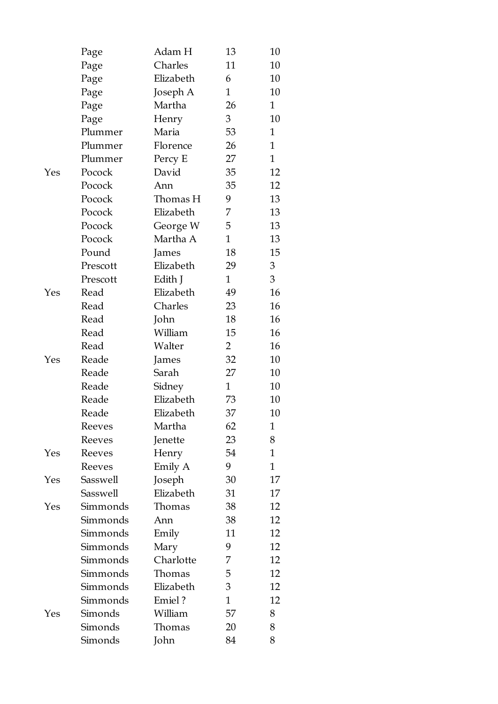|     | Page          | Adam H    | 13             | 10           |
|-----|---------------|-----------|----------------|--------------|
|     | Page          | Charles   | 11             | 10           |
|     | Page          | Elizabeth | 6              | 10           |
|     | Page          | Joseph A  | $\mathbf{1}$   | 10           |
|     | Page          | Martha    | 26             | $\mathbf{1}$ |
|     | Page          | Henry     | 3              | 10           |
|     | Plummer       | Maria     | 53             | $\mathbf{1}$ |
|     | Plummer       | Florence  | 26             | $\mathbf{1}$ |
|     | Plummer       | Percy E   | 27             | $\mathbf{1}$ |
| Yes | Pocock        | David     | 35             | 12           |
|     | Pocock        | Ann       | 35             | 12           |
|     | Pocock        | Thomas H  | 9              | 13           |
|     | Pocock        | Elizabeth | 7              | 13           |
|     | Pocock        | George W  | 5              | 13           |
|     | Pocock        | Martha A  | $\mathbf{1}$   | 13           |
|     | Pound         | James     | 18             | 15           |
|     | Prescott      | Elizabeth | 29             | 3            |
|     | Prescott      | Edith J   | $\mathbf{1}$   | 3            |
| Yes | Read          | Elizabeth | 49             | 16           |
|     | Read          | Charles   | 23             | 16           |
|     | Read          | John      | 18             | 16           |
|     | Read          | William   | 15             | 16           |
|     | Read          | Walter    | $\overline{2}$ | 16           |
| Yes | Reade         | James     | 32             | 10           |
|     | Reade         | Sarah     | 27             | 10           |
|     | Reade         | Sidney    | $\mathbf{1}$   | 10           |
|     | Reade         | Elizabeth | 73             | 10           |
|     | Reade         | Elizabeth | 37             | 10           |
|     | <b>Reeves</b> | Martha    | 62             | 1            |
|     | Reeves        | Jenette   | 23             | 8            |
| Yes | Reeves        | Henry     | 54             | 1            |
|     | Reeves        | Emily A   | 9              | $\mathbf{1}$ |
| Yes | Sasswell      | Joseph    | 30             | 17           |
|     | Sasswell      | Elizabeth | 31             | 17           |
| Yes | Simmonds      | Thomas    | 38             | 12           |
|     | Simmonds      | Ann       | 38             | 12           |
|     | Simmonds      | Emily     | 11             | 12           |
|     | Simmonds      | Mary      | 9              | 12           |
|     | Simmonds      | Charlotte | 7              | 12           |
|     | Simmonds      | Thomas    | 5              | 12           |
|     | Simmonds      | Elizabeth | 3              | 12           |
|     | Simmonds      | Emiel?    | $\mathbf{1}$   | 12           |
| Yes | Simonds       | William   | 57             | 8            |
|     | Simonds       | Thomas    | 20             | 8            |
|     | Simonds       | John      | 84             | 8            |
|     |               |           |                |              |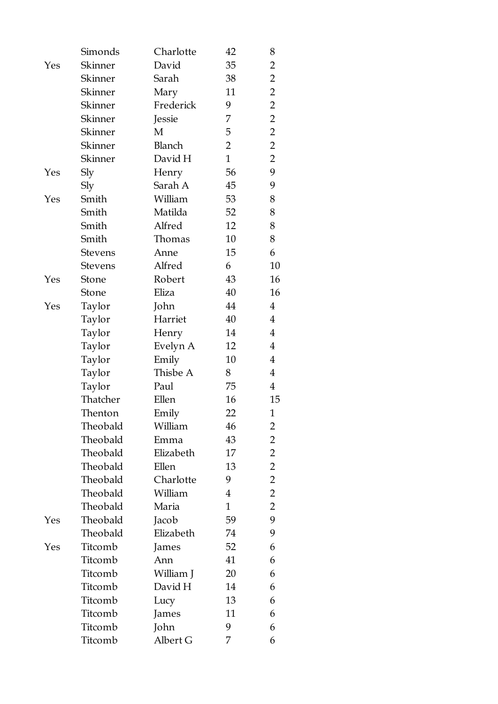|     | Simonds        | Charlotte | 42             | 8              |
|-----|----------------|-----------|----------------|----------------|
| Yes | Skinner        | David     | 35             | $\overline{2}$ |
|     | Skinner        | Sarah     | 38             | $\overline{2}$ |
|     | Skinner        | Mary      | 11             | $\overline{2}$ |
|     | Skinner        | Frederick | 9              | $\overline{2}$ |
|     | Skinner        | Jessie    | 7              | $\overline{2}$ |
|     | Skinner        | M         | 5              | $\overline{2}$ |
|     | Skinner        | Blanch    | $\overline{2}$ | $\overline{2}$ |
|     | Skinner        | David H   | $\mathbf{1}$   | $\overline{2}$ |
| Yes | Sly            | Henry     | 56             | 9              |
|     | Sly            | Sarah A   | 45             | 9              |
| Yes | Smith          | William   | 53             | 8              |
|     | Smith          | Matilda   | 52             | 8              |
|     | Smith          | Alfred    | 12             | 8              |
|     | Smith          | Thomas    | 10             | 8              |
|     | <b>Stevens</b> | Anne      | 15             | 6              |
|     | <b>Stevens</b> | Alfred    | 6              | 10             |
| Yes | Stone          | Robert    | 43             | 16             |
|     | Stone          | Eliza     | 40             | 16             |
| Yes | Taylor         | John      | 44             | $\overline{4}$ |
|     | Taylor         | Harriet   | 40             | $\overline{4}$ |
|     | Taylor         | Henry     | 14             | 4              |
|     | Taylor         | Evelyn A  | 12             | $\overline{4}$ |
|     | Taylor         | Emily     | 10             | $\overline{4}$ |
|     | Taylor         | Thisbe A  | 8              | 4              |
|     | Taylor         | Paul      | 75             | $\overline{4}$ |
|     | Thatcher       | Ellen     | 16             | 15             |
|     | Thenton        | Emily     | 22             | 1              |
|     | Theobald       | William   | 46             | 2              |
|     | Theobald       | Emma      | 43             | 2              |
|     | Theobald       | Elizabeth | 17             | $\overline{2}$ |
|     | Theobald       | Ellen     | 13             | $\overline{2}$ |
|     | Theobald       | Charlotte | 9              | $\overline{2}$ |
|     | Theobald       | William   | $\overline{4}$ | $\overline{2}$ |
|     | Theobald       | Maria     | $\mathbf{1}$   | $\overline{2}$ |
| Yes | Theobald       | Jacob     | 59             | 9              |
|     | Theobald       | Elizabeth | 74             | 9              |
| Yes | Titcomb        | James     | 52             | 6              |
|     | Titcomb        | Ann       | 41             | 6              |
|     | Titcomb        | William J | 20             | 6              |
|     | Titcomb        | David H   | 14             | 6              |
|     | Titcomb        | Lucy      | 13             | 6              |
|     | Titcomb        | James     | 11             | 6              |
|     | Titcomb        | John      | 9              | 6              |
|     | Titcomb        | Albert G  | 7              | 6              |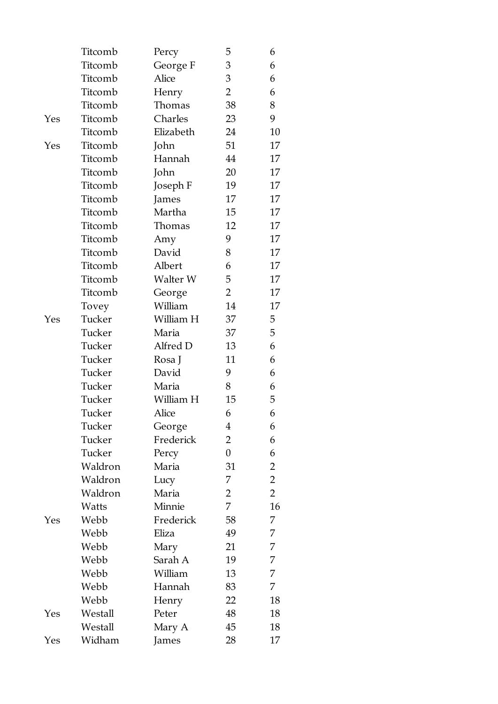|     | Titcomb | Percy     | 5              | 6              |
|-----|---------|-----------|----------------|----------------|
|     | Titcomb | George F  | 3              | 6              |
|     | Titcomb | Alice     | 3              | 6              |
|     | Titcomb | Henry     | 2              | 6              |
|     | Titcomb | Thomas    | 38             | 8              |
| Yes | Titcomb | Charles   | 23             | 9              |
|     | Titcomb | Elizabeth | 24             | 10             |
| Yes | Titcomb | John      | 51             | 17             |
|     | Titcomb | Hannah    | 44             | 17             |
|     | Titcomb | John      | 20             | 17             |
|     | Titcomb | Joseph F  | 19             | 17             |
|     | Titcomb | James     | 17             | 17             |
|     | Titcomb | Martha    | 15             | 17             |
|     | Titcomb | Thomas    | 12             | 17             |
|     | Titcomb | Amy       | 9              | 17             |
|     | Titcomb | David     | 8              | 17             |
|     | Titcomb | Albert    | 6              | 17             |
|     | Titcomb | Walter W  | 5              | 17             |
|     | Titcomb | George    | 2              | 17             |
|     | Tovey   | William   | 14             | 17             |
| Yes | Tucker  | William H | 37             | 5              |
|     | Tucker  | Maria     | 37             | 5              |
|     | Tucker  | Alfred D  | 13             | 6              |
|     | Tucker  | Rosa J    | 11             | 6              |
|     | Tucker  | David     | 9              | 6              |
|     | Tucker  | Maria     | 8              | 6              |
|     | Tucker  | William H | 15             | 5              |
|     | Tucker  | Alice     | 6              | 6              |
|     | Tucker  | George    | 4              | 6              |
|     | Tucker  | Frederick | $\overline{2}$ | 6              |
|     | Tucker  | Percy     | $\overline{0}$ | 6              |
|     | Waldron | Maria     | 31             | 2              |
|     | Waldron | Lucy      | 7              | $\overline{2}$ |
|     | Waldron | Maria     | 2              | $\overline{2}$ |
|     | Watts   | Minnie    | 7              | 16             |
| Yes | Webb    | Frederick | 58             | 7              |
|     | Webb    | Eliza     | 49             | 7              |
|     | Webb    | Mary      | 21             | 7              |
|     | Webb    | Sarah A   | 19             | 7              |
|     | Webb    | William   | 13             | 7              |
|     | Webb    | Hannah    | 83             | 7              |
|     | Webb    | Henry     | 22             | 18             |
| Yes | Westall | Peter     | 48             | 18             |
|     | Westall | Mary A    | 45             | 18             |
| Yes | Widham  | James     | 28             | 17             |
|     |         |           |                |                |